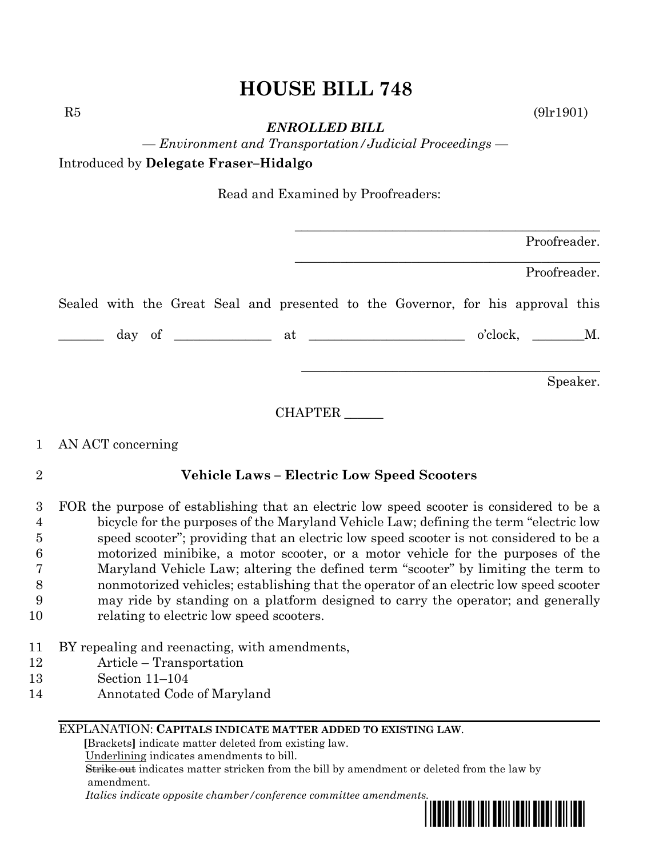# **HOUSE BILL 748**

 $R5$  (9lr1901)

*ENROLLED BILL*

*— Environment and Transportation/Judicial Proceedings —*

Introduced by **Delegate Fraser–Hidalgo**

Read and Examined by Proofreaders:

|  |  |  |  |                                                                                 |  | Proofreader. |          |
|--|--|--|--|---------------------------------------------------------------------------------|--|--------------|----------|
|  |  |  |  |                                                                                 |  | Proofreader. |          |
|  |  |  |  | Sealed with the Great Seal and presented to the Governor, for his approval this |  |              |          |
|  |  |  |  |                                                                                 |  |              |          |
|  |  |  |  |                                                                                 |  |              | Speaker. |

CHAPTER \_\_\_\_\_\_

## 1 AN ACT concerning

## 2 **Vehicle Laws – Electric Low Speed Scooters**

- 3 FOR the purpose of establishing that an electric low speed scooter is considered to be a 4 bicycle for the purposes of the Maryland Vehicle Law; defining the term "electric low 5 speed scooter"; providing that an electric low speed scooter is not considered to be a 6 motorized minibike, a motor scooter, or a motor vehicle for the purposes of the 7 Maryland Vehicle Law; altering the defined term "scooter" by limiting the term to 8 nonmotorized vehicles; establishing that the operator of an electric low speed scooter 9 may ride by standing on a platform designed to carry the operator; and generally 10 relating to electric low speed scooters.
- 11 BY repealing and reenacting, with amendments,
- 12 Article Transportation
- 13 Section 11–104
- 14 Annotated Code of Maryland

## EXPLANATION: **CAPITALS INDICATE MATTER ADDED TO EXISTING LAW**.

 **[**Brackets**]** indicate matter deleted from existing law.

Underlining indicates amendments to bill.

 Strike out indicates matter stricken from the bill by amendment or deleted from the law by amendment.

 *Italics indicate opposite chamber/conference committee amendments.*

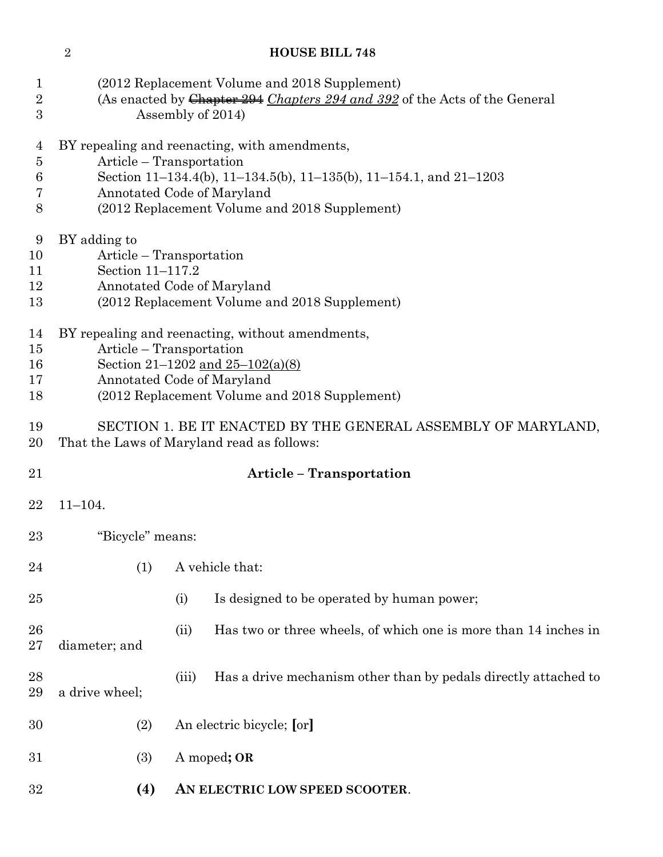## **HOUSE BILL 748**

| $\mathbf 1$<br>$\overline{2}$<br>3 | (2012 Replacement Volume and 2018 Supplement)<br>(As enacted by Chapter 294 Chapters 294 and 392 of the Acts of the General<br>Assembly of 2014)                                                                               |       |                                                                                                                                         |  |  |  |
|------------------------------------|--------------------------------------------------------------------------------------------------------------------------------------------------------------------------------------------------------------------------------|-------|-----------------------------------------------------------------------------------------------------------------------------------------|--|--|--|
| 4<br>5<br>6<br>7<br>8              | BY repealing and reenacting, with amendments,<br>Article – Transportation<br>Section 11-134.4(b), 11-134.5(b), 11-135(b), 11-154.1, and 21-1203<br>Annotated Code of Maryland<br>(2012 Replacement Volume and 2018 Supplement) |       |                                                                                                                                         |  |  |  |
| 9<br>10<br>11<br>12<br>13          | BY adding to<br>Article – Transportation<br>Section 11-117.2<br>Annotated Code of Maryland<br>(2012 Replacement Volume and 2018 Supplement)                                                                                    |       |                                                                                                                                         |  |  |  |
| 14<br>15<br>16<br>17<br>18         | Article – Transportation<br>Annotated Code of Maryland                                                                                                                                                                         |       | BY repealing and reenacting, without amendments,<br>Section 21-1202 and $25-102(a)(8)$<br>(2012 Replacement Volume and 2018 Supplement) |  |  |  |
| 19<br>$20\,$                       | SECTION 1. BE IT ENACTED BY THE GENERAL ASSEMBLY OF MARYLAND,<br>That the Laws of Maryland read as follows:                                                                                                                    |       |                                                                                                                                         |  |  |  |
| 21                                 |                                                                                                                                                                                                                                |       | <b>Article - Transportation</b>                                                                                                         |  |  |  |
| 22                                 | $11 - 104.$                                                                                                                                                                                                                    |       |                                                                                                                                         |  |  |  |
| $23\,$                             | "Bicycle" means:                                                                                                                                                                                                               |       |                                                                                                                                         |  |  |  |
| 24                                 | (1)                                                                                                                                                                                                                            |       | A vehicle that:                                                                                                                         |  |  |  |
| 25                                 |                                                                                                                                                                                                                                | (i)   | Is designed to be operated by human power;                                                                                              |  |  |  |
| 26<br>$27\,$                       | diameter; and                                                                                                                                                                                                                  | (ii)  | Has two or three wheels, of which one is more than 14 inches in                                                                         |  |  |  |
| 28<br>29                           | a drive wheel;                                                                                                                                                                                                                 | (iii) | Has a drive mechanism other than by pedals directly attached to                                                                         |  |  |  |
| 30                                 | (2)                                                                                                                                                                                                                            |       | An electric bicycle; [or]                                                                                                               |  |  |  |
| 31                                 | (3)                                                                                                                                                                                                                            |       | A moped; OR                                                                                                                             |  |  |  |
| 32                                 | (4)                                                                                                                                                                                                                            |       | AN ELECTRIC LOW SPEED SCOOTER.                                                                                                          |  |  |  |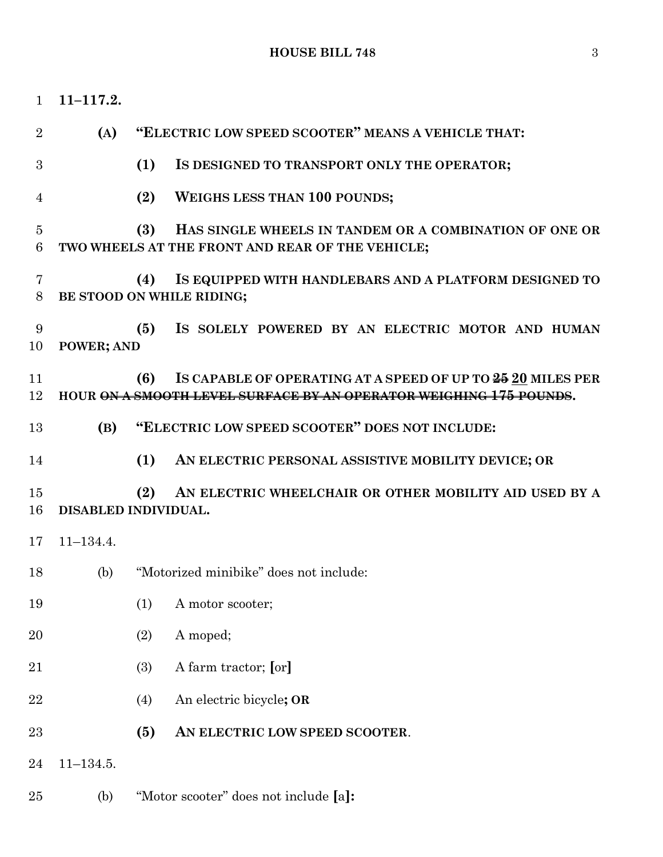| $\mathbf{1}$        | $11 - 117.2.$        |     |                                                                                                                                   |
|---------------------|----------------------|-----|-----------------------------------------------------------------------------------------------------------------------------------|
| $\overline{2}$      | (A)                  |     | "ELECTRIC LOW SPEED SCOOTER" MEANS A VEHICLE THAT:                                                                                |
| 3                   |                      | (1) | IS DESIGNED TO TRANSPORT ONLY THE OPERATOR;                                                                                       |
| 4                   |                      | (2) | <b>WEIGHS LESS THAN 100 POUNDS;</b>                                                                                               |
| $\overline{5}$<br>6 |                      | (3) | HAS SINGLE WHEELS IN TANDEM OR A COMBINATION OF ONE OR<br>TWO WHEELS AT THE FRONT AND REAR OF THE VEHICLE;                        |
| 7<br>8              |                      | (4) | IS EQUIPPED WITH HANDLEBARS AND A PLATFORM DESIGNED TO<br>BE STOOD ON WHILE RIDING;                                               |
| 9<br>10             | POWER; AND           | (5) | IS SOLELY POWERED BY AN ELECTRIC MOTOR AND HUMAN                                                                                  |
| 11<br>12            |                      | (6) | IS CAPABLE OF OPERATING AT A SPEED OF UP TO 25 20 MILES PER<br>HOUR ON A SMOOTH LEVEL SURFACE BY AN OPERATOR WEIGHING 175 POUNDS. |
| 13                  | (B)                  |     | "ELECTRIC LOW SPEED SCOOTER" DOES NOT INCLUDE:                                                                                    |
| 14                  |                      | (1) | AN ELECTRIC PERSONAL ASSISTIVE MOBILITY DEVICE; OR                                                                                |
| 15<br>16            | DISABLED INDIVIDUAL. | (2) | AN ELECTRIC WHEELCHAIR OR OTHER MOBILITY AID USED BY A                                                                            |
| 17                  | $11 - 134.4.$        |     |                                                                                                                                   |
| 18                  | (b)                  |     | "Motorized minibike" does not include:                                                                                            |
| 19                  |                      | (1) | A motor scooter;                                                                                                                  |
| 20                  |                      | (2) | A moped;                                                                                                                          |
| 21                  |                      | (3) | A farm tractor; [or]                                                                                                              |
| 22                  |                      | (4) | An electric bicycle; OR                                                                                                           |
| 23                  |                      | (5) | AN ELECTRIC LOW SPEED SCOOTER.                                                                                                    |
| 24                  | $11 - 134.5.$        |     |                                                                                                                                   |
| 25                  | (b)                  |     | "Motor scooter" does not include [a]:                                                                                             |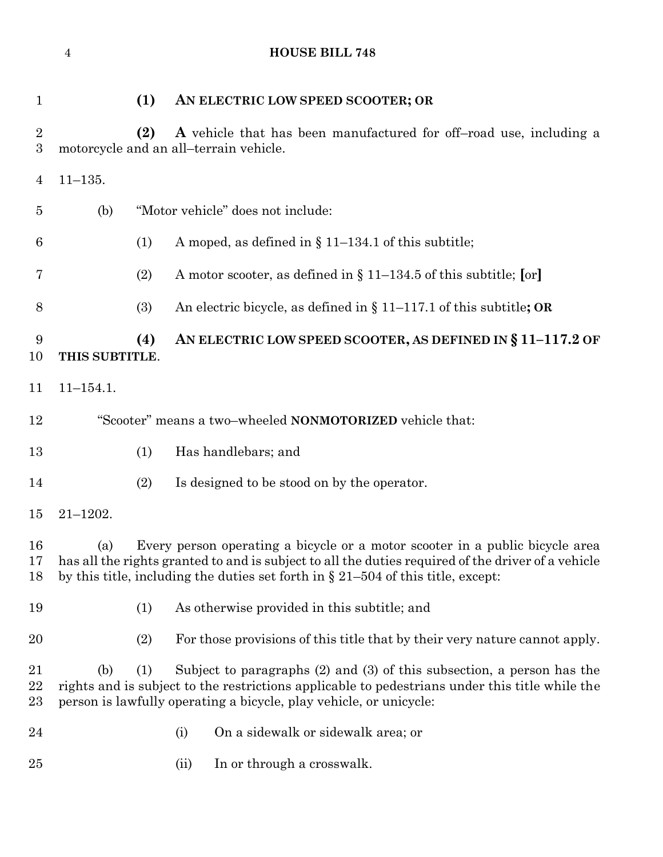**(1) AN ELECTRIC LOW SPEED SCOOTER; OR (2) A** vehicle that has been manufactured for off–road use, including a motorcycle and an all–terrain vehicle. 11–135. (b) "Motor vehicle" does not include: 6 (1) A moped, as defined in  $\S 11-134.1$  of this subtitle; (2) A motor scooter, as defined in § 11–134.5 of this subtitle; **[**or**]** (3) An electric bicycle, as defined in § 11–117.1 of this subtitle**; OR (4) AN ELECTRIC LOW SPEED SCOOTER, AS DEFINED IN § 11–117.2 OF THIS SUBTITLE**. 11–154.1. "Scooter" means a two–wheeled **NONMOTORIZED** vehicle that: (1) Has handlebars; and (2) Is designed to be stood on by the operator. 21–1202. (a) Every person operating a bicycle or a motor scooter in a public bicycle area has all the rights granted to and is subject to all the duties required of the driver of a vehicle by this title, including the duties set forth in § 21–504 of this title, except: (1) As otherwise provided in this subtitle; and (2) For those provisions of this title that by their very nature cannot apply. (b) (1) Subject to paragraphs (2) and (3) of this subsection, a person has the rights and is subject to the restrictions applicable to pedestrians under this title while the person is lawfully operating a bicycle, play vehicle, or unicycle: (i) On a sidewalk or sidewalk area; or 25 (ii) In or through a crosswalk.

**HOUSE BILL 748**